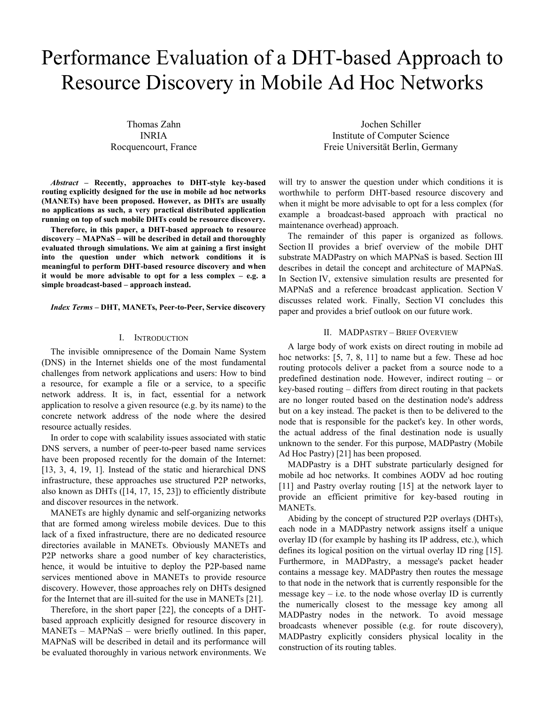# Performance Evaluation of a DHT-based Approach to Resource Discovery in Mobile Ad Hoc Networks

Thomas Zahn INRIA Rocquencourt, France

*Abstract* **– Recently, approaches to DHT-style key-based routing explicitly designed for the use in mobile ad hoc networks (MANETs) have been proposed. However, as DHTs are usually no applications as such, a very practical distributed application running on top of such mobile DHTs could be resource discovery.** 

**Therefore, in this paper, a DHT-based approach to resource discovery – MAPNaS – will be described in detail and thoroughly evaluated through simulations. We aim at gaining a first insight into the question under which network conditions it is meaningful to perform DHT-based resource discovery and when it would be more advisable to opt for a less complex – e.g. a simple broadcast-based – approach instead.** 

#### *Index Terms* **– DHT, MANETs, Peer-to-Peer, Service discovery**

## I. INTRODUCTION

The invisible omnipresence of the Domain Name System (DNS) in the Internet shields one of the most fundamental challenges from network applications and users: How to bind a resource, for example a file or a service, to a specific network address. It is, in fact, essential for a network application to resolve a given resource (e.g. by its name) to the concrete network address of the node where the desired resource actually resides.

In order to cope with scalability issues associated with static DNS servers, a number of peer-to-peer based name services have been proposed recently for the domain of the Internet: [13, 3, 4, 19, 1]. Instead of the static and hierarchical DNS infrastructure, these approaches use structured P2P networks, also known as DHTs ([14, 17, 15, 23]) to efficiently distribute and discover resources in the network.

MANETs are highly dynamic and self-organizing networks that are formed among wireless mobile devices. Due to this lack of a fixed infrastructure, there are no dedicated resource directories available in MANETs. Obviously MANETs and P2P networks share a good number of key characteristics, hence, it would be intuitive to deploy the P2P-based name services mentioned above in MANETs to provide resource discovery. However, those approaches rely on DHTs designed for the Internet that are ill-suited for the use in MANETs [21].

Therefore, in the short paper [22], the concepts of a DHTbased approach explicitly designed for resource discovery in MANETs – MAPNaS – were briefly outlined. In this paper, MAPNaS will be described in detail and its performance will be evaluated thoroughly in various network environments. We

Jochen Schiller Institute of Computer Science Freie Universität Berlin, Germany

will try to answer the question under which conditions it is worthwhile to perform DHT-based resource discovery and when it might be more advisable to opt for a less complex (for example a broadcast-based approach with practical no maintenance overhead) approach.

The remainder of this paper is organized as follows. Section II provides a brief overview of the mobile DHT substrate MADPastry on which MAPNaS is based. Section III describes in detail the concept and architecture of MAPNaS. In Section IV, extensive simulation results are presented for MAPNaS and a reference broadcast application. Section V discusses related work. Finally, Section VI concludes this paper and provides a brief outlook on our future work.

## II. MADPASTRY – BRIEF OVERVIEW

A large body of work exists on direct routing in mobile ad hoc networks: [5, 7, 8, 11] to name but a few. These ad hoc routing protocols deliver a packet from a source node to a predefined destination node. However, indirect routing – or key-based routing – differs from direct routing in that packets are no longer routed based on the destination node's address but on a key instead. The packet is then to be delivered to the node that is responsible for the packet's key. In other words, the actual address of the final destination node is usually unknown to the sender. For this purpose, MADPastry (Mobile Ad Hoc Pastry) [21] has been proposed.

MADPastry is a DHT substrate particularly designed for mobile ad hoc networks. It combines AODV ad hoc routing [11] and Pastry overlay routing [15] at the network layer to provide an efficient primitive for key-based routing in MANETs.

Abiding by the concept of structured P2P overlays (DHTs), each node in a MADPastry network assigns itself a unique overlay ID (for example by hashing its IP address, etc.), which defines its logical position on the virtual overlay ID ring [15]. Furthermore, in MADPastry, a message's packet header contains a message key. MADPastry then routes the message to that node in the network that is currently responsible for the message key  $-$  i.e. to the node whose overlay ID is currently the numerically closest to the message key among all MADPastry nodes in the network. To avoid message broadcasts whenever possible (e.g. for route discovery), MADPastry explicitly considers physical locality in the construction of its routing tables.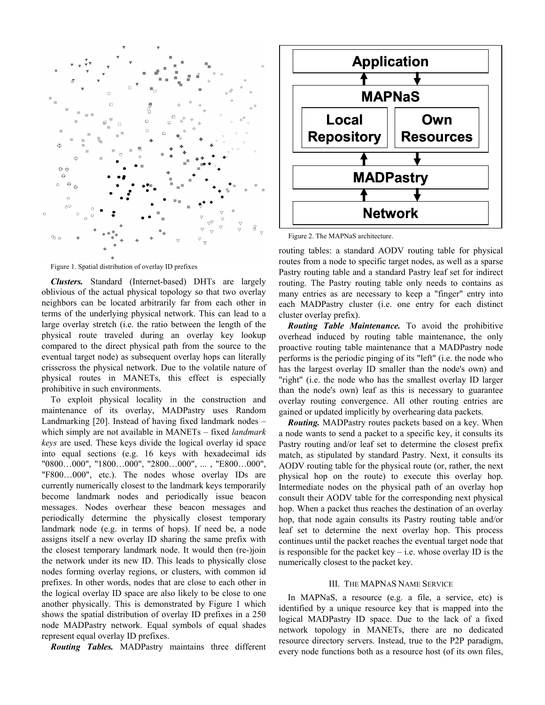

Figure 1. Spatial distribution of overlay ID prefixes

*Clusters.* Standard (Internet-based) DHTs are largely oblivious of the actual physical topology so that two overlay neighbors can be located arbitrarily far from each other in terms of the underlying physical network. This can lead to a large overlay stretch (i.e. the ratio between the length of the physical route traveled during an overlay key lookup compared to the direct physical path from the source to the eventual target node) as subsequent overlay hops can literally crisscross the physical network. Due to the volatile nature of physical routes in MANETs, this effect is especially prohibitive in such environments.

To exploit physical locality in the construction and maintenance of its overlay, MADPastry uses Random Landmarking [20]. Instead of having fixed landmark nodes – which simply are not available in MANETs – fixed *landmark keys* are used. These keys divide the logical overlay id space into equal sections (e.g. 16 keys with hexadecimal ids "0800…000", "1800…000", "2800…000", ... , "E800…000", "F800…000", etc.). The nodes whose overlay IDs are currently numerically closest to the landmark keys temporarily become landmark nodes and periodically issue beacon messages. Nodes overhear these beacon messages and periodically determine the physically closest temporary landmark node (e.g. in terms of hops). If need be, a node assigns itself a new overlay ID sharing the same prefix with the closest temporary landmark node. It would then (re-)join the network under its new ID. This leads to physically close nodes forming overlay regions, or clusters, with common id prefixes. In other words, nodes that are close to each other in the logical overlay ID space are also likely to be close to one another physically. This is demonstrated by Figure 1 which shows the spatial distribution of overlay ID prefixes in a 250 node MADPastry network. Equal symbols of equal shades represent equal overlay ID prefixes.

*Routing Tables.* MADPastry maintains three different



Figure 2. The MAPNaS architecture.

routing tables: a standard AODV routing table for physical routes from a node to specific target nodes, as well as a sparse Pastry routing table and a standard Pastry leaf set for indirect routing. The Pastry routing table only needs to contains as many entries as are necessary to keep a "finger" entry into each MADPastry cluster (i.e. one entry for each distinct cluster overlay prefix).

*Routing Table Maintenance.* To avoid the prohibitive overhead induced by routing table maintenance, the only proactive routing table maintenance that a MADPastry node performs is the periodic pinging of its "left" (i.e. the node who has the largest overlay ID smaller than the node's own) and "right" (i.e. the node who has the smallest overlay ID larger than the node's own) leaf as this is necessary to guarantee overlay routing convergence. All other routing entries are gained or updated implicitly by overhearing data packets.

*Routing.* MADPastry routes packets based on a key. When a node wants to send a packet to a specific key, it consults its Pastry routing and/or leaf set to determine the closest prefix match, as stipulated by standard Pastry. Next, it consults its AODV routing table for the physical route (or, rather, the next physical hop on the route) to execute this overlay hop. Intermediate nodes on the physical path of an overlay hop consult their AODV table for the corresponding next physical hop. When a packet thus reaches the destination of an overlay hop, that node again consults its Pastry routing table and/or leaf set to determine the next overlay hop. This process continues until the packet reaches the eventual target node that is responsible for the packet key  $-$  i.e. whose overlay ID is the numerically closest to the packet key.

# III. THE MAPNAS NAME SERVICE

In MAPNaS, a resource (e.g. a file, a service, etc) is identified by a unique resource key that is mapped into the logical MADPastry ID space. Due to the lack of a fixed network topology in MANETs, there are no dedicated resource directory servers. Instead, true to the P2P paradigm, every node functions both as a resource host (of its own files,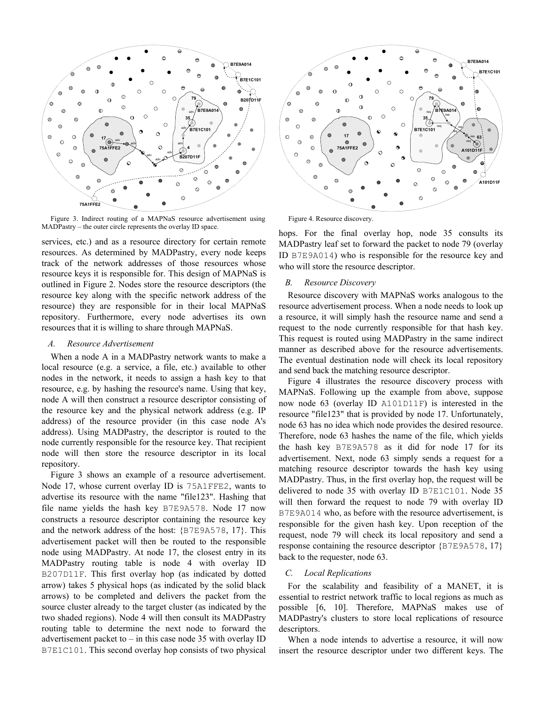

Figure 3. Indirect routing of a MAPNaS resource advertisement using MADPastry – the outer circle represents the overlay ID space.

services, etc.) and as a resource directory for certain remote resources. As determined by MADPastry, every node keeps track of the network addresses of those resources whose resource keys it is responsible for. This design of MAPNaS is outlined in Figure 2. Nodes store the resource descriptors (the resource key along with the specific network address of the resource) they are responsible for in their local MAPNaS repository. Furthermore, every node advertises its own resources that it is willing to share through MAPNaS.

## *A. Resource Advertisement*

When a node A in a MADPastry network wants to make a local resource (e.g. a service, a file, etc.) available to other nodes in the network, it needs to assign a hash key to that resource, e.g. by hashing the resource's name. Using that key, node A will then construct a resource descriptor consisting of the resource key and the physical network address (e.g. IP address) of the resource provider (in this case node A's address). Using MADPastry, the descriptor is routed to the node currently responsible for the resource key. That recipient node will then store the resource descriptor in its local repository.

Figure 3 shows an example of a resource advertisement. Node 17, whose current overlay ID is 75A1FFE2, wants to advertise its resource with the name "file123". Hashing that file name yields the hash key B7E9A578. Node 17 now constructs a resource descriptor containing the resource key and the network address of the host: {B7E9A578, 17}. This advertisement packet will then be routed to the responsible node using MADPastry. At node 17, the closest entry in its MADPastry routing table is node 4 with overlay ID B207D11F. This first overlay hop (as indicated by dotted arrow) takes 5 physical hops (as indicated by the solid black arrows) to be completed and delivers the packet from the source cluster already to the target cluster (as indicated by the two shaded regions). Node 4 will then consult its MADPastry routing table to determine the next node to forward the advertisement packet to – in this case node 35 with overlay ID B7E1C101. This second overlay hop consists of two physical



Figure 4. Resource discovery.

hops. For the final overlay hop, node 35 consults its MADPastry leaf set to forward the packet to node 79 (overlay ID B7E9A014) who is responsible for the resource key and who will store the resource descriptor.

# *B. Resource Discovery*

Resource discovery with MAPNaS works analogous to the resource advertisement process. When a node needs to look up a resource, it will simply hash the resource name and send a request to the node currently responsible for that hash key. This request is routed using MADPastry in the same indirect manner as described above for the resource advertisements. The eventual destination node will check its local repository and send back the matching resource descriptor.

Figure 4 illustrates the resource discovery process with MAPNaS. Following up the example from above, suppose now node 63 (overlay ID A101D11F) is interested in the resource "file123" that is provided by node 17. Unfortunately, node 63 has no idea which node provides the desired resource. Therefore, node 63 hashes the name of the file, which yields the hash key B7E9A578 as it did for node 17 for its advertisement. Next, node 63 simply sends a request for a matching resource descriptor towards the hash key using MADPastry. Thus, in the first overlay hop, the request will be delivered to node 35 with overlay ID B7E1C101. Node 35 will then forward the request to node 79 with overlay ID B7E9A014 who, as before with the resource advertisement, is responsible for the given hash key. Upon reception of the request, node 79 will check its local repository and send a response containing the resource descriptor {B7E9A578, 17} back to the requester, node 63.

# *C. Local Replications*

For the scalability and feasibility of a MANET, it is essential to restrict network traffic to local regions as much as possible [6, 10]. Therefore, MAPNaS makes use of MADPastry's clusters to store local replications of resource descriptors.

When a node intends to advertise a resource, it will now insert the resource descriptor under two different keys. The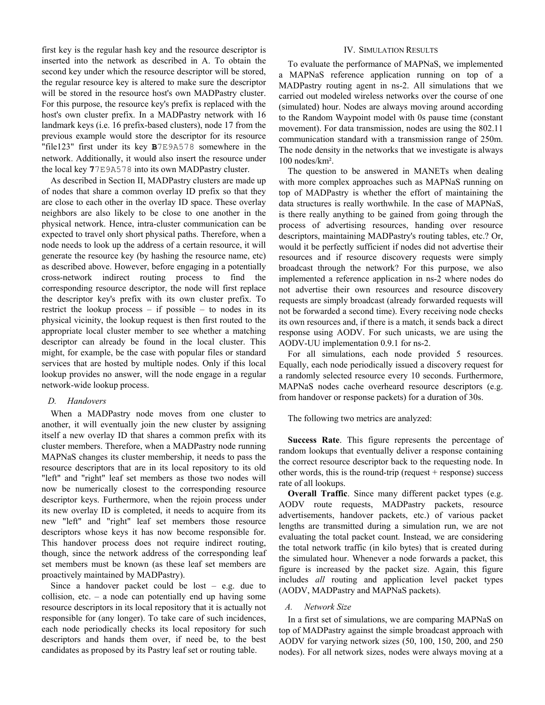first key is the regular hash key and the resource descriptor is inserted into the network as described in A. To obtain the second key under which the resource descriptor will be stored, the regular resource key is altered to make sure the descriptor will be stored in the resource host's own MADPastry cluster. For this purpose, the resource key's prefix is replaced with the host's own cluster prefix. In a MADPastry network with 16 landmark keys (i.e. 16 prefix-based clusters), node 17 from the previous example would store the descriptor for its resource "file123" first under its key **B**7E9A578 somewhere in the network. Additionally, it would also insert the resource under the local key **7**7E9A578 into its own MADPastry cluster.

As described in Section II, MADPastry clusters are made up of nodes that share a common overlay ID prefix so that they are close to each other in the overlay ID space. These overlay neighbors are also likely to be close to one another in the physical network. Hence, intra-cluster communication can be expected to travel only short physical paths. Therefore, when a node needs to look up the address of a certain resource, it will generate the resource key (by hashing the resource name, etc) as described above. However, before engaging in a potentially cross-network indirect routing process to find the corresponding resource descriptor, the node will first replace the descriptor key's prefix with its own cluster prefix. To restrict the lookup process  $-$  if possible  $-$  to nodes in its physical vicinity, the lookup request is then first routed to the appropriate local cluster member to see whether a matching descriptor can already be found in the local cluster. This might, for example, be the case with popular files or standard services that are hosted by multiple nodes. Only if this local lookup provides no answer, will the node engage in a regular network-wide lookup process.

# *D. Handovers*

When a MADPastry node moves from one cluster to another, it will eventually join the new cluster by assigning itself a new overlay ID that shares a common prefix with its cluster members. Therefore, when a MADPastry node running MAPNaS changes its cluster membership, it needs to pass the resource descriptors that are in its local repository to its old "left" and "right" leaf set members as those two nodes will now be numerically closest to the corresponding resource descriptor keys. Furthermore, when the rejoin process under its new overlay ID is completed, it needs to acquire from its new "left" and "right" leaf set members those resource descriptors whose keys it has now become responsible for. This handover process does not require indirect routing, though, since the network address of the corresponding leaf set members must be known (as these leaf set members are proactively maintained by MADPastry).

Since a handover packet could be lost  $-$  e.g. due to collision, etc. – a node can potentially end up having some resource descriptors in its local repository that it is actually not responsible for (any longer). To take care of such incidences, each node periodically checks its local repository for such descriptors and hands them over, if need be, to the best candidates as proposed by its Pastry leaf set or routing table.

# IV. SIMULATION RESULTS

To evaluate the performance of MAPNaS, we implemented a MAPNaS reference application running on top of a MADPastry routing agent in ns-2. All simulations that we carried out modeled wireless networks over the course of one (simulated) hour. Nodes are always moving around according to the Random Waypoint model with 0s pause time (constant movement). For data transmission, nodes are using the 802.11 communication standard with a transmission range of 250m. The node density in the networks that we investigate is always 100 nodes/km².

The question to be answered in MANETs when dealing with more complex approaches such as MAPNaS running on top of MADPastry is whether the effort of maintaining the data structures is really worthwhile. In the case of MAPNaS, is there really anything to be gained from going through the process of advertising resources, handing over resource descriptors, maintaining MADPastry's routing tables, etc.? Or, would it be perfectly sufficient if nodes did not advertise their resources and if resource discovery requests were simply broadcast through the network? For this purpose, we also implemented a reference application in ns-2 where nodes do not advertise their own resources and resource discovery requests are simply broadcast (already forwarded requests will not be forwarded a second time). Every receiving node checks its own resources and, if there is a match, it sends back a direct response using AODV. For such unicasts, we are using the AODV-UU implementation 0.9.1 for ns-2.

For all simulations, each node provided 5 resources. Equally, each node periodically issued a discovery request for a randomly selected resource every 10 seconds. Furthermore, MAPNaS nodes cache overheard resource descriptors (e.g. from handover or response packets) for a duration of 30s.

The following two metrics are analyzed:

**Success Rate**. This figure represents the percentage of random lookups that eventually deliver a response containing the correct resource descriptor back to the requesting node. In other words, this is the round-trip (request  $+$  response) success rate of all lookups.

**Overall Traffic**. Since many different packet types (e.g. AODV route requests, MADPastry packets, resource advertisements, handover packets, etc.) of various packet lengths are transmitted during a simulation run, we are not evaluating the total packet count. Instead, we are considering the total network traffic (in kilo bytes) that is created during the simulated hour. Whenever a node forwards a packet, this figure is increased by the packet size. Again, this figure includes *all* routing and application level packet types (AODV, MADPastry and MAPNaS packets).

## *A. Network Size*

In a first set of simulations, we are comparing MAPNaS on top of MADPastry against the simple broadcast approach with AODV for varying network sizes (50, 100, 150, 200, and 250 nodes). For all network sizes, nodes were always moving at a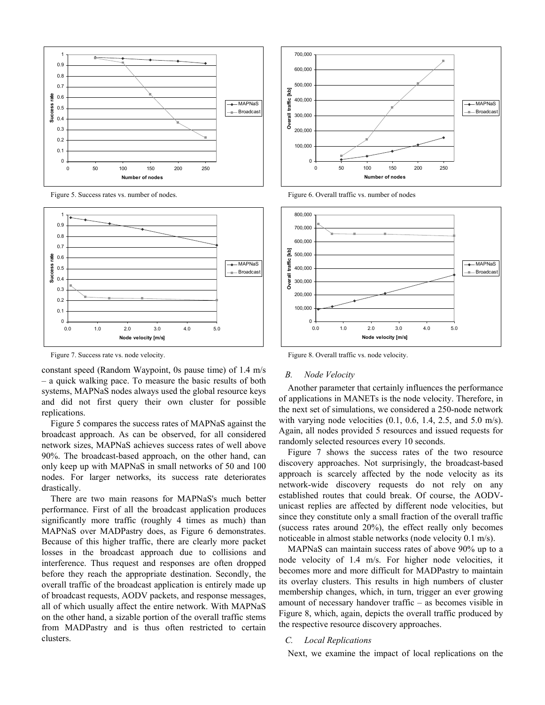

Figure 5. Success rates vs. number of nodes.



Figure 7. Success rate vs. node velocity.

constant speed (Random Waypoint, 0s pause time) of 1.4 m/s – a quick walking pace. To measure the basic results of both systems, MAPNaS nodes always used the global resource keys and did not first query their own cluster for possible replications.

Figure 5 compares the success rates of MAPNaS against the broadcast approach. As can be observed, for all considered network sizes, MAPNaS achieves success rates of well above 90%. The broadcast-based approach, on the other hand, can only keep up with MAPNaS in small networks of 50 and 100 nodes. For larger networks, its success rate deteriorates drastically.

There are two main reasons for MAPNaS's much better performance. First of all the broadcast application produces significantly more traffic (roughly 4 times as much) than MAPNaS over MADPastry does, as Figure 6 demonstrates. Because of this higher traffic, there are clearly more packet losses in the broadcast approach due to collisions and interference. Thus request and responses are often dropped before they reach the appropriate destination. Secondly, the overall traffic of the broadcast application is entirely made up of broadcast requests, AODV packets, and response messages, all of which usually affect the entire network. With MAPNaS on the other hand, a sizable portion of the overall traffic stems from MADPastry and is thus often restricted to certain clusters.



Figure 6. Overall traffic vs. number of nodes



Figure 8. Overall traffic vs. node velocity.

#### *B. Node Velocity*

Another parameter that certainly influences the performance of applications in MANETs is the node velocity. Therefore, in the next set of simulations, we considered a 250-node network with varying node velocities  $(0.1, 0.6, 1.4, 2.5, \text{ and } 5.0 \text{ m/s})$ . Again, all nodes provided 5 resources and issued requests for randomly selected resources every 10 seconds.

Figure 7 shows the success rates of the two resource discovery approaches. Not surprisingly, the broadcast-based approach is scarcely affected by the node velocity as its network-wide discovery requests do not rely on any established routes that could break. Of course, the AODVunicast replies are affected by different node velocities, but since they constitute only a small fraction of the overall traffic (success rates around 20%), the effect really only becomes noticeable in almost stable networks (node velocity 0.1 m/s).

MAPNaS can maintain success rates of above 90% up to a node velocity of 1.4 m/s. For higher node velocities, it becomes more and more difficult for MADPastry to maintain its overlay clusters. This results in high numbers of cluster membership changes, which, in turn, trigger an ever growing amount of necessary handover traffic – as becomes visible in Figure 8, which, again, depicts the overall traffic produced by the respective resource discovery approaches.

## *C. Local Replications*

Next, we examine the impact of local replications on the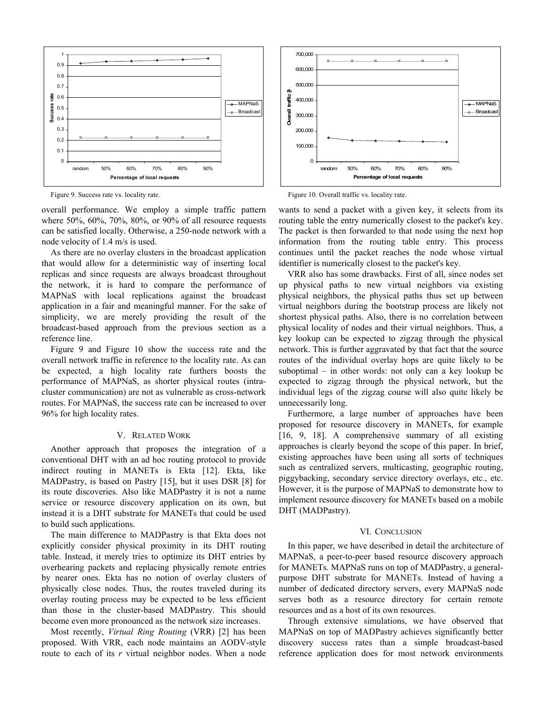

Figure 9. Success rate vs. locality rate.

overall performance. We employ a simple traffic pattern where 50%, 60%, 70%, 80%, or 90% of all resource requests can be satisfied locally. Otherwise, a 250-node network with a node velocity of 1.4 m/s is used.

As there are no overlay clusters in the broadcast application that would allow for a deterministic way of inserting local replicas and since requests are always broadcast throughout the network, it is hard to compare the performance of MAPNaS with local replications against the broadcast application in a fair and meaningful manner. For the sake of simplicity, we are merely providing the result of the broadcast-based approach from the previous section as a reference line.

Figure 9 and Figure 10 show the success rate and the overall network traffic in reference to the locality rate. As can be expected, a high locality rate furthers boosts the performance of MAPNaS, as shorter physical routes (intracluster communication) are not as vulnerable as cross-network routes. For MAPNaS, the success rate can be increased to over 96% for high locality rates.

## V. RELATED WORK

Another approach that proposes the integration of a conventional DHT with an ad hoc routing protocol to provide indirect routing in MANETs is Ekta [12]. Ekta, like MADPastry, is based on Pastry [15], but it uses DSR [8] for its route discoveries. Also like MADPastry it is not a name service or resource discovery application on its own, but instead it is a DHT substrate for MANETs that could be used to build such applications.

The main difference to MADPastry is that Ekta does not explicitly consider physical proximity in its DHT routing table. Instead, it merely tries to optimize its DHT entries by overhearing packets and replacing physically remote entries by nearer ones. Ekta has no notion of overlay clusters of physically close nodes. Thus, the routes traveled during its overlay routing process may be expected to be less efficient than those in the cluster-based MADPastry. This should become even more pronounced as the network size increases.

Most recently, *Virtual Ring Routing* (VRR) [2] has been proposed. With VRR, each node maintains an AODV-style route to each of its *r* virtual neighbor nodes. When a node



Figure 10. Overall traffic vs. locality rate.

wants to send a packet with a given key, it selects from its routing table the entry numerically closest to the packet's key. The packet is then forwarded to that node using the next hop information from the routing table entry. This process continues until the packet reaches the node whose virtual identifier is numerically closest to the packet's key.

VRR also has some drawbacks. First of all, since nodes set up physical paths to new virtual neighbors via existing physical neighbors, the physical paths thus set up between virtual neighbors during the bootstrap process are likely not shortest physical paths. Also, there is no correlation between physical locality of nodes and their virtual neighbors. Thus, a key lookup can be expected to zigzag through the physical network. This is further aggravated by that fact that the source routes of the individual overlay hops are quite likely to be suboptimal – in other words: not only can a key lookup be expected to zigzag through the physical network, but the individual legs of the zigzag course will also quite likely be unnecessarily long.

Furthermore, a large number of approaches have been proposed for resource discovery in MANETs, for example [16, 9, 18]. A comprehensive summary of all existing approaches is clearly beyond the scope of this paper. In brief, existing approaches have been using all sorts of techniques such as centralized servers, multicasting, geographic routing, piggybacking, secondary service directory overlays, etc., etc. However, it is the purpose of MAPNaS to demonstrate how to implement resource discovery for MANETs based on a mobile DHT (MADPastry).

#### VI. CONCLUSION

In this paper, we have described in detail the architecture of MAPNaS, a peer-to-peer based resource discovery approach for MANETs. MAPNaS runs on top of MADPastry, a generalpurpose DHT substrate for MANETs. Instead of having a number of dedicated directory servers, every MAPNaS node serves both as a resource directory for certain remote resources and as a host of its own resources.

Through extensive simulations, we have observed that MAPNaS on top of MADPastry achieves significantly better discovery success rates than a simple broadcast-based reference application does for most network environments